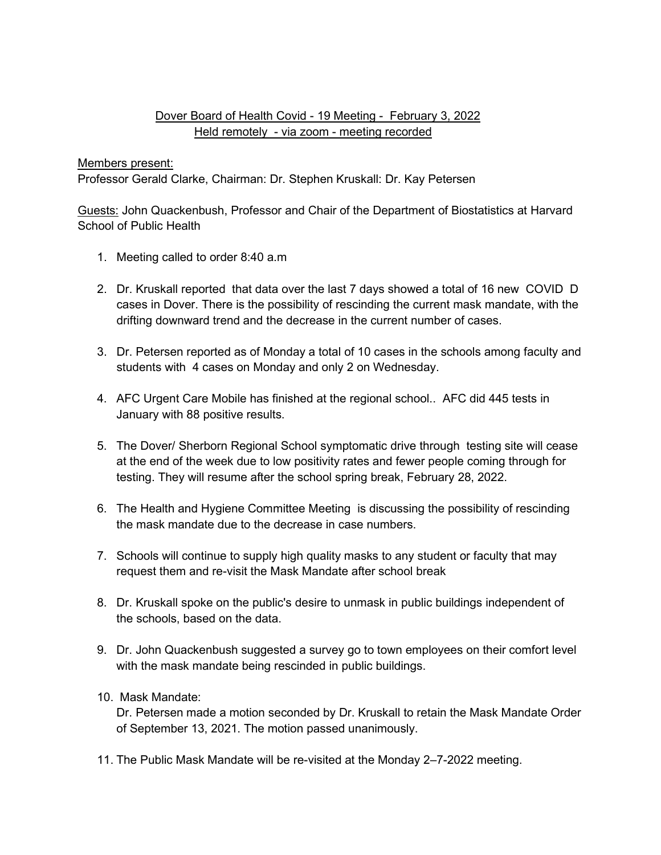## Dover Board of Health Covid - 19 Meeting - February 3, 2022 Held remotely - via zoom - meeting recorded

## Members present:

Professor Gerald Clarke, Chairman: Dr. Stephen Kruskall: Dr. Kay Petersen

Guests: John Quackenbush, Professor and Chair of the Department of Biostatistics at Harvard School of Public Health

- 1. Meeting called to order 8:40 a.m
- 2. Dr. Kruskall reported that data over the last 7 days showed a total of 16 new COVID D cases in Dover. There is the possibility of rescinding the current mask mandate, with the drifting downward trend and the decrease in the current number of cases.
- 3. Dr. Petersen reported as of Monday a total of 10 cases in the schools among faculty and students with 4 cases on Monday and only 2 on Wednesday.
- 4. AFC Urgent Care Mobile has finished at the regional school.. AFC did 445 tests in January with 88 positive results.
- 5. The Dover/ Sherborn Regional School symptomatic drive through testing site will cease at the end of the week due to low positivity rates and fewer people coming through for testing. They will resume after the school spring break, February 28, 2022.
- 6. The Health and Hygiene Committee Meeting is discussing the possibility of rescinding the mask mandate due to the decrease in case numbers.
- 7. Schools will continue to supply high quality masks to any student or faculty that may request them and re-visit the Mask Mandate after school break
- 8. Dr. Kruskall spoke on the public's desire to unmask in public buildings independent of the schools, based on the data.
- 9. Dr. John Quackenbush suggested a survey go to town employees on their comfort level with the mask mandate being rescinded in public buildings.
- 10. Mask Mandate:

Dr. Petersen made a motion seconded by Dr. Kruskall to retain the Mask Mandate Order of September 13, 2021. The motion passed unanimously.

11. The Public Mask Mandate will be re-visited at the Monday 2–7-2022 meeting.